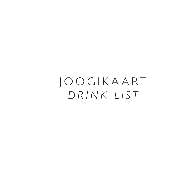JOOGIKAART *DRINK LIST*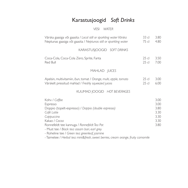## Karastusjoogid *Soft Drinks*

VESI *WATER*

| Värska gaasiga või gaasita / Local still or sparkling water Värska<br>Neptunas gaasiga või gaasita / Neptunas still or sparkling water                                                                                                                                          | 33 cl<br>75 cl     | 3.80<br>4.80                                         |
|---------------------------------------------------------------------------------------------------------------------------------------------------------------------------------------------------------------------------------------------------------------------------------|--------------------|------------------------------------------------------|
| KARASTUSJOOGID SOFT DRINKS                                                                                                                                                                                                                                                      |                    |                                                      |
| Coca-Cola, Coca-Cola Zero, Sprite, Fanta<br>Red Bull                                                                                                                                                                                                                            | $25$ cl<br>$25$ cl | 3.50<br>7.00                                         |
| MAHLAD JUICES                                                                                                                                                                                                                                                                   |                    |                                                      |
| Apelsin, multivitamiin, õun, tomat / Orange, multi, apple, tomato<br>Värskelt pressitud mahlad / Freshly squeezed juices                                                                                                                                                        | $25$ cl<br>$25$ cl | 3.00<br>6.00                                         |
| KUUMAD JOOGID HOT BEVERAGES                                                                                                                                                                                                                                                     |                    |                                                      |
| Kohv / Coffee<br>Espresso<br>Doppio (topelt-espresso) / Doppio (double espresso)<br>Café Latte<br>Cappuccino<br>Kakao / Cocoa<br>Ronnefeldt tee kannuga / Ronnefeldt Tea Pot<br>- Must tee / Black tea: assam bari, earl grey<br>- Roheline tee / Green tea: greenleaf, jasmine |                    | 3.00<br>3.00<br>3.80<br>3.30<br>3.30<br>3.30<br>3.80 |

- Taimetee / *Herbal tea: mint&fresh, sweet berries, cream orange, fruity camomile*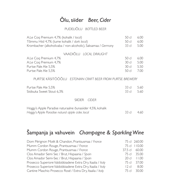## Õlu, siider *Beer, Cider*

### PUDELIÕLU *BOTTLED BEER*

| A.Le Coq Premium 4,7% (kohalik / local)                       | 50 cl            | 6.00 |
|---------------------------------------------------------------|------------------|------|
| Tõmmu Hiid 4,7% (tume kohalik / dark local)                   | 50 cl            | 6.00 |
| Krombacher (alkoholivaba / non-alcoholic), Saksamaa / Germany | 33 cl            | 5.00 |
|                                                               |                  |      |
| VAADIÕLU LOCAL DRAUGHT                                        |                  |      |
| A.Le Coq Premium 4,7%                                         | 50 cl            | 6.00 |
| A.Le Coq Premium 4,7%                                         | 30 cl            | 5.00 |
| Purtse Pale Ale 5,5%                                          | 30 <sub>cl</sub> | 5.50 |
| Purtse Pale Ale 5,5%                                          | 50 cl            | 7.00 |
|                                                               |                  |      |
| PURTSE KÄSITÖÖÕLU ESTONIAN CRAFT BEER FROM PURTSE BREWERY     |                  |      |
|                                                               |                  |      |
| Purtse Pale Ale 5,5%                                          | 33 cl            | 5.60 |
| Siidisuka Sweet Stout 6,3%                                    | 33 cl            | 5.60 |
|                                                               |                  |      |
| <b>CIDER</b><br><b>SIIDER</b>                                 |                  |      |
| Hoggy's Apple Paradise naturaalne õunasiider 4,5%, kohalik    |                  |      |
| Hoggy's Apple Paradise natural apple cider, local             | 33 cl            | 4.60 |
|                                                               |                  |      |

# Šampanja ja vahuvein *Champagne & Sparkling Wine*

| Dom Pérignon Moët & Chandon, Prantsusmaa / France           |           | 75 cl 260.00 |
|-------------------------------------------------------------|-----------|--------------|
| Mumm Cordon Rouge, Prantsusmaa / France                     |           | 75 cl 110.00 |
| Mumm Cordon Rouge, Prantsusmaa / France                     | $37.5$ cl | 60.00        |
| Clos Amador Semi Sec / Brut, Hispaania / Spain              | 75 cl     | 35.00        |
| Clos Amador Semi-Sec / Brut, Hispaania / Spain              | 20c1      | 11.00        |
| Prosecco Superiore Valdobbiadene Extra Dry, Itaalia / Italy | 75 cl     | 37.00        |
| Prosecco Superiore Valdobbiadene Extra Dry, Itaalia / Italy | 12 di     | 8.00         |
| Cantine Maschio Prosecco Rosé / Extra Dry, Itaalia / Italy  | 75 cl     | 30.00        |
|                                                             |           |              |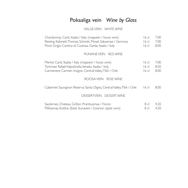# Pokaaliga vein *Wine by Glass*

#### VALGE VEIN *WHITE WINE*

| Chardonnay Canti, Itaalia / Italy (majavein / house wine)<br>Riesling Kabinett Thomas Schmitt, Mosel, Saksamaa / Germany<br>Pinot Grigio Cantina di Custoza, Garda, Itaalia / Italy | 16 <sub>cl</sub><br>$16$ cl<br>$16$ cl | 7.00<br>7.00<br>8.00 |
|-------------------------------------------------------------------------------------------------------------------------------------------------------------------------------------|----------------------------------------|----------------------|
| PUNANEVEIN RED WINE                                                                                                                                                                 |                                        |                      |
| Merlot Canti, Itaalia / Italy (majavein / house wine)<br>Tommasi Rafael Valpolicella, Veneto, Itaalia / Italy<br>Carmenere Carmen Insigne, Central Valley, Tšiili / Chile           | 16cl<br>16c<br>$16$ cl                 | 7.00<br>8.50<br>8.00 |
| ROOSA VEIN ROSE WINE                                                                                                                                                                |                                        |                      |
| Cabernet Sauvignon Reserva Santa Digna, Central Valley, Tšiili / Chile                                                                                                              | 16 <sub>cl</sub>                       | 8.00                 |
| DESSERTVEIN DESSERT WINE                                                                                                                                                            |                                        |                      |
| Sauternes, Chateau Grillon, Prantsusmaa / France<br>Põltsamaa Kuldne (Eesti õunavein / Estonian apple wine)                                                                         | 8 <sub>cl</sub><br>8 cl                | 4.20<br>4.20         |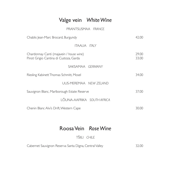### Valge vein *White Wine*

#### PRANTSUSMAA *FRANCE*

| Chablis Jean-Marc Brocard, Burgundy                                                | 42.00          |
|------------------------------------------------------------------------------------|----------------|
| ITAALIA <i>ITALY</i>                                                               |                |
| Chardonnay Canti (majavein / house wine)<br>Pinot Grigio Cantina di Custoza, Garda | 29.00<br>33.00 |
| SAKSAMAA GERMANY                                                                   |                |
| Riesling Kabinett Thomas Schmitt, Mosel                                            | 34.00          |
| UUS-MEREMAA NEW ZELAND                                                             |                |
| Sauvignon Blanc, Marlborough Estate Reserve                                        | 37.00          |
| LÕUNA-AAFRIKA SOUTH AFRICA                                                         |                |
| Chenin Blanc Alvi's Drift, Western Cape                                            | 30.00          |

### Roosa Vein *Rose Wine*

TŠIILI *CHILE*

Cabernet Sauvignon Reserva Santa Digna, Central Valley 32.00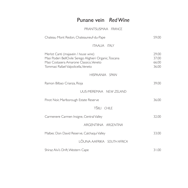### Punane vein *Red Wine*

#### PRANTSUSMAA *FRANCE*

| Chateau Mont Redon, Chateauneuf-du-Pape                                                                                                                                           | 59.00                            |
|-----------------------------------------------------------------------------------------------------------------------------------------------------------------------------------|----------------------------------|
| <b>ITAALIA ITALY</b>                                                                                                                                                              |                                  |
| Merlot Canti (majavein / house wine)<br>Masi Poderi BellOvile Serego Alighieri Organic, Toscana<br>Masi Costasera Amarone Classico, Veneto<br>Tommasi Rafael Valpolicella, Veneto | 29.00<br>37.00<br>66.00<br>36.00 |
| HISPAANIA SPAIN                                                                                                                                                                   |                                  |
| Ramon Bilbao Crianza, Rioja                                                                                                                                                       | 39.00                            |
| UUS-MEREMAA NEW ZELAND                                                                                                                                                            |                                  |
| Pinot Noir, Marlborough Estate Reserve                                                                                                                                            | 36.00                            |
| TŠIILI CHILE                                                                                                                                                                      |                                  |
| Carmenere Carmen Insigne, Central Valley                                                                                                                                          | 32.00                            |
| ARGENTIINA ARGENTINA                                                                                                                                                              |                                  |
| Malbec Don David Reserve, Calchaqui Valley                                                                                                                                        | 33.00                            |
| LÕUNA AAFRIKA SOUTH AFRICA                                                                                                                                                        |                                  |
| Shiraz Alvi's Drift, Western Cape                                                                                                                                                 | 31.00                            |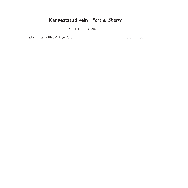## Kangestatud vein *Port & Sherry*

PORTUGAL *PORTUGAL*

Taylor's Late Bottled Vintage Port 8.00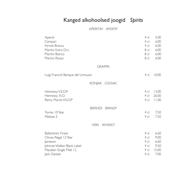# Kanged alkohoolsed joogid *Spirits*

APERITIIV *APERITIF*

| Aperol<br>Campari<br>Fernet Branca<br>Martini Extra Dry<br>Martini Bianco<br>Martini Rosso                                             | 4 cl<br>4 cl<br>4 cl<br>8 cl<br>8 cl<br>8 cl                | 5.00<br>6.00<br>6.00<br>6.00<br>6.00<br>6.00  |
|----------------------------------------------------------------------------------------------------------------------------------------|-------------------------------------------------------------|-----------------------------------------------|
| <b>GRAPPA</b>                                                                                                                          |                                                             |                                               |
| Luigi Francoli Barique del Limousin                                                                                                    | 4 cl                                                        | 10.00                                         |
| KONJAK COGNAC                                                                                                                          |                                                             |                                               |
| Hennessy V.S.O.P<br>Hennessy X.O.<br>Remy Martin V.S.O.P                                                                               | 4 cl<br>4 cl<br>4 cl                                        | 13.00<br>26.00<br>11.00                       |
| BRÄNDI BRANDY<br>Torres 10 Year<br>Metaxa 5                                                                                            | $4$ cl<br>4 cl                                              | 7.50<br>7.50                                  |
| <b>VISKI</b><br>WHISKEY                                                                                                                |                                                             |                                               |
| <b>Ballantine's Finest</b><br>Chivas Regal 12 Year<br>Jameson<br>Johnnie Walker Black Label<br>Macallan Single Malt 12<br>Jack Daniels | $4$ cl<br>$4$ cl<br>4 <sub>cl</sub><br>4 cl<br>4 cl<br>4 cl | 6.60<br>9.00<br>6.60<br>9.50<br>15.00<br>7.00 |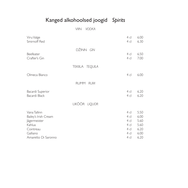# Kanged alkohoolsed joogid *Spirits*

VIIN *VODKA*

| 4 cl<br>4 cl                                 | 6.00<br>6.30                                         |
|----------------------------------------------|------------------------------------------------------|
| 4 cl<br>4 cl                                 | 6.50<br>7.00                                         |
|                                              |                                                      |
| 4 cl                                         | 6.00                                                 |
|                                              |                                                      |
| 4 cl<br>4 cl                                 | 6.20<br>6.20                                         |
|                                              |                                                      |
| 4 cl<br>4 cl<br>4 cl<br>4 cl<br>4 cl<br>4 cl | 5.50<br>6.00<br>5.60<br>5.60<br>6.20<br>6.00<br>6.20 |
|                                              | 4 cl                                                 |